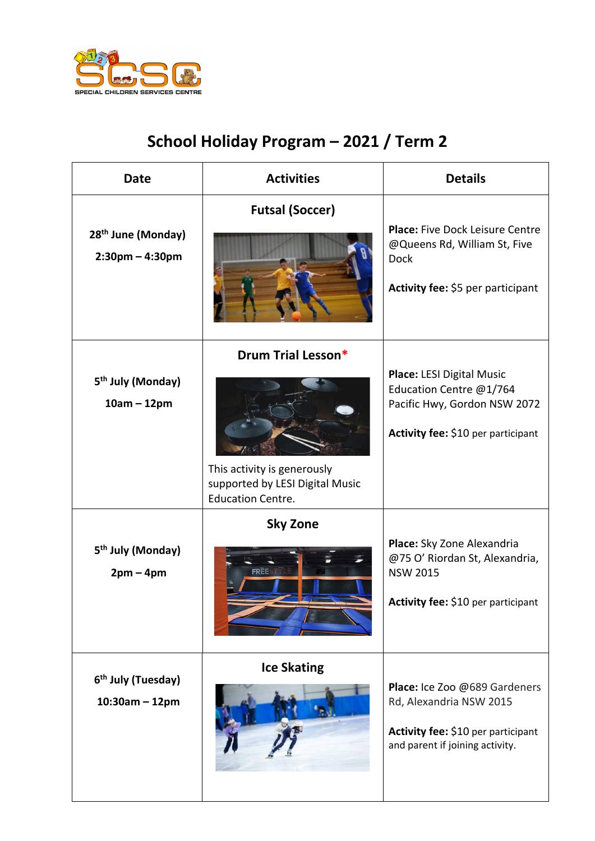

## **School Holiday Program – 2021 / Term 2**

| <b>Date</b>                                          | <b>Activities</b>                                                                                                | <b>Details</b>                                                                                                                    |
|------------------------------------------------------|------------------------------------------------------------------------------------------------------------------|-----------------------------------------------------------------------------------------------------------------------------------|
| 28 <sup>th</sup> June (Monday)<br>$2:30$ pm – 4:30pm | <b>Futsal (Soccer)</b>                                                                                           | <b>Place: Five Dock Leisure Centre</b><br>@Queens Rd, William St, Five<br><b>Dock</b><br>Activity fee: \$5 per participant        |
| 5 <sup>th</sup> July (Monday)<br>$10am - 12pm$       | Drum Trial Lesson*<br>This activity is generously<br>supported by LESI Digital Music<br><b>Education Centre.</b> | <b>Place: LESI Digital Music</b><br>Education Centre @1/764<br>Pacific Hwy, Gordon NSW 2072<br>Activity fee: \$10 per participant |
| 5 <sup>th</sup> July (Monday)<br>$2pm-4pm$           | <b>Sky Zone</b><br><b>FREE</b>                                                                                   | Place: Sky Zone Alexandria<br>@75 O' Riordan St, Alexandria,<br><b>NSW 2015</b><br>Activity fee: \$10 per participant             |
| 6 <sup>th</sup> July (Tuesday)<br>$10:30$ am - 12pm  | <b>Ice Skating</b>                                                                                               | Place: Ice Zoo @689 Gardeners<br>Rd, Alexandria NSW 2015<br>Activity fee: \$10 per participant<br>and parent if joining activity. |